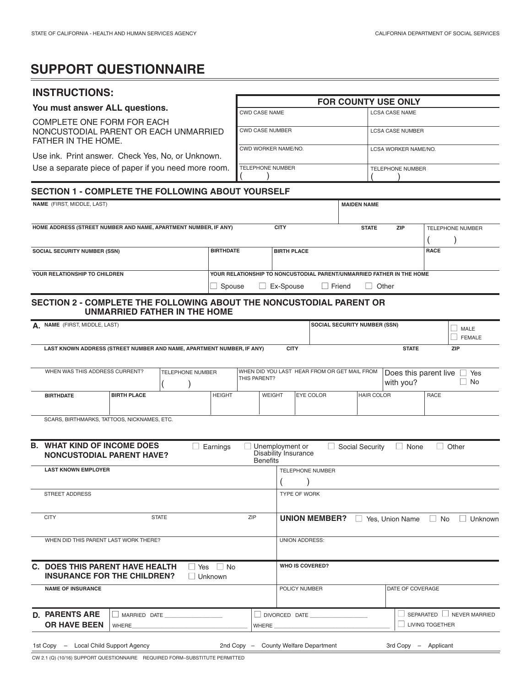## **SUPPORT QUESTIONNAIRE**

## **INSTRUCTIONS:**

| INSTRUCTIONS:                                                                                                                |                                                                        |                    |                                     |               |                         | <b>FOR COUNTY USE ONLY</b>                                        |                                                                       |                      |                                     |                                                  |                                  |                                  |                       |                           |  |
|------------------------------------------------------------------------------------------------------------------------------|------------------------------------------------------------------------|--------------------|-------------------------------------|---------------|-------------------------|-------------------------------------------------------------------|-----------------------------------------------------------------------|----------------------|-------------------------------------|--------------------------------------------------|----------------------------------|----------------------------------|-----------------------|---------------------------|--|
| You must answer ALL questions.<br>COMPLETE ONE FORM FOR EACH<br>NONCUSTODIAL PARENT OR EACH UNMARRIED<br>FATHER IN THE HOME. |                                                                        |                    |                                     |               | <b>CWD CASE NAME</b>    |                                                                   |                                                                       |                      |                                     |                                                  |                                  |                                  |                       |                           |  |
|                                                                                                                              |                                                                        |                    |                                     |               | <b>CWD CASE NUMBER</b>  |                                                                   |                                                                       |                      |                                     | <b>LCSA CASE NAME</b><br><b>LCSA CASE NUMBER</b> |                                  |                                  |                       |                           |  |
|                                                                                                                              | Use ink. Print answer. Check Yes, No, or Unknown.                      |                    |                                     |               | CWD WORKER NAME/NO.     |                                                                   |                                                                       |                      |                                     |                                                  | LCSA WORKER NAME/NO.             |                                  |                       |                           |  |
| Use a separate piece of paper if you need more room.                                                                         |                                                                        |                    |                                     |               | <b>TELEPHONE NUMBER</b> |                                                                   |                                                                       |                      |                                     |                                                  | <b>TELEPHONE NUMBER</b>          |                                  |                       |                           |  |
|                                                                                                                              | <b>SECTION 1 - COMPLETE THE FOLLOWING ABOUT YOURSELF</b>               |                    |                                     |               |                         |                                                                   |                                                                       |                      |                                     |                                                  |                                  |                                  |                       |                           |  |
|                                                                                                                              | NAME (FIRST, MIDDLE, LAST)                                             |                    |                                     |               |                         |                                                                   |                                                                       |                      |                                     | <b>MAIDEN NAME</b>                               |                                  |                                  |                       |                           |  |
|                                                                                                                              |                                                                        |                    |                                     |               |                         |                                                                   |                                                                       |                      |                                     | <b>STATE</b>                                     |                                  |                                  |                       |                           |  |
| HOME ADDRESS (STREET NUMBER AND NAME, APARTMENT NUMBER, IF ANY)                                                              |                                                                        |                    |                                     |               |                         | <b>CITY</b>                                                       |                                                                       |                      |                                     |                                                  | ZIP                              |                                  |                       | <b>TELEPHONE NUMBER</b>   |  |
| <b>SOCIAL SECURITY NUMBER (SSN)</b>                                                                                          |                                                                        |                    |                                     |               | <b>BIRTHDATE</b>        |                                                                   |                                                                       | <b>BIRTH PLACE</b>   |                                     |                                                  |                                  |                                  | <b>RACE</b>           |                           |  |
|                                                                                                                              | YOUR RELATIONSHIP TO CHILDREN                                          |                    |                                     |               |                         |                                                                   | YOUR RELATIONSHIP TO NONCUSTODIAL PARENT/UNMARRIED FATHER IN THE HOME |                      |                                     |                                                  |                                  |                                  |                       |                           |  |
|                                                                                                                              |                                                                        |                    |                                     | $\Box$ Spouse |                         | $\Box$ Ex-Spouse                                                  |                                                                       | $\Box$ Friend        |                                     | $\Box$ Other                                     |                                  |                                  |                       |                           |  |
|                                                                                                                              | SECTION 2 - COMPLETE THE FOLLOWING ABOUT THE NONCUSTODIAL PARENT OR    |                    | <b>UNMARRIED FATHER IN THE HOME</b> |               |                         |                                                                   |                                                                       |                      |                                     |                                                  |                                  |                                  |                       |                           |  |
|                                                                                                                              | A. NAME (FIRST, MIDDLE, LAST)                                          |                    |                                     |               |                         |                                                                   |                                                                       |                      | <b>SOCIAL SECURITY NUMBER (SSN)</b> |                                                  |                                  |                                  | $\Box$<br>$\Box$      | MALE<br><b>FEMALE</b>     |  |
|                                                                                                                              | LAST KNOWN ADDRESS (STREET NUMBER AND NAME, APARTMENT NUMBER, IF ANY)  |                    |                                     |               |                         |                                                                   | <b>CITY</b>                                                           |                      |                                     |                                                  |                                  | <b>STATE</b>                     | ZIP                   |                           |  |
|                                                                                                                              | WHEN WAS THIS ADDRESS CURRENT?                                         |                    | <b>TELEPHONE NUMBER</b>             |               | THIS PARENT?            | WHEN DID YOU LAST HEAR FROM OR GET MAIL FROM                      |                                                                       |                      |                                     |                                                  | with you?                        | Does this parent live $\Box$ Yes |                       | $\Box$ No                 |  |
|                                                                                                                              | <b>BIRTHDATE</b>                                                       | <b>BIRTH PLACE</b> |                                     | <b>HEIGHT</b> |                         | <b>WEIGHT</b>                                                     |                                                                       | EYE COLOR            |                                     | <b>HAIR COLOR</b>                                |                                  | <b>RACE</b>                      |                       |                           |  |
|                                                                                                                              | SCARS, BIRTHMARKS, TATTOOS, NICKNAMES, ETC.                            |                    |                                     |               |                         |                                                                   |                                                                       |                      |                                     |                                                  |                                  |                                  |                       |                           |  |
|                                                                                                                              | <b>B. WHAT KIND OF INCOME DOES</b><br><b>NONCUSTODIAL PARENT HAVE?</b> |                    |                                     | Earnings      |                         | Unemployment or<br><b>Disability Insurance</b><br><b>Benefits</b> |                                                                       |                      |                                     | <b>Social Security</b>                           | $\Box$ None                      |                                  | Other<br>$\mathsf{L}$ |                           |  |
|                                                                                                                              | <b>LAST KNOWN EMPLOYER</b>                                             |                    |                                     |               |                         |                                                                   | <b>TELEPHONE NUMBER</b>                                               |                      |                                     |                                                  |                                  |                                  |                       |                           |  |
|                                                                                                                              | STREET ADDRESS                                                         |                    |                                     |               |                         | V                                                                 | $\sqrt{ }$<br>TYPE OF WORK                                            |                      |                                     |                                                  |                                  |                                  |                       |                           |  |
|                                                                                                                              | <b>CITY</b>                                                            |                    | <b>STATE</b>                        |               | ZIP                     |                                                                   |                                                                       | <b>UNION MEMBER?</b> |                                     |                                                  | $\Box$ Yes, Union Name $\Box$ No |                                  |                       | $\Box$ Unknown            |  |
| WHEN DID THIS PARENT LAST WORK THERE?                                                                                        |                                                                        |                    |                                     |               | <b>UNION ADDRESS:</b>   |                                                                   |                                                                       |                      |                                     |                                                  |                                  |                                  |                       |                           |  |
| <b>C. DOES THIS PARENT HAVE HEALTH</b><br>Yes $\Box$ No<br><b>INSURANCE FOR THE CHILDREN?</b><br>$\Box$ Unknown              |                                                                        |                    |                                     |               |                         | WHO IS COVERED?                                                   |                                                                       |                      |                                     |                                                  |                                  |                                  |                       |                           |  |
| <b>NAME OF INSURANCE</b>                                                                                                     |                                                                        |                    |                                     |               | POLICY NUMBER           |                                                                   |                                                                       |                      |                                     |                                                  |                                  | DATE OF COVERAGE                 |                       |                           |  |
|                                                                                                                              | <b>D. PARENTS ARE</b><br>OR HAVE BEEN                                  | WHERE              | MARRIED DATE __________________     |               |                         | $\Box$ Divorced date __________________<br>WHERE                  |                                                                       |                      |                                     |                                                  | $\vert \ \ \vert$                | <b>LIVING TOGETHER</b>           |                       | SEPARATED   NEVER MARRIED |  |
|                                                                                                                              | 1st Copy - Local Child Support Agency                                  |                    |                                     |               |                         | 2nd Copy - County Welfare Department                              |                                                                       |                      |                                     |                                                  |                                  | 3rd Copy - Applicant             |                       |                           |  |

CW 2.1 (Q) (10/16) SUPPORT QUESTIONNAIRE REQUIRED FORM–SUBSTITUTE PERMITTED